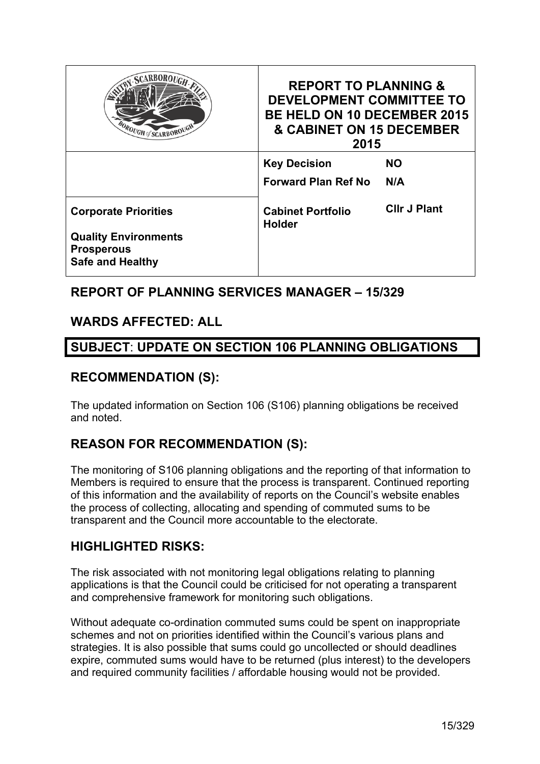| <b>ROUGH of SCARBOROUGH</b>                                                 | <b>REPORT TO PLANNING &amp;</b><br><b>DEVELOPMENT COMMITTEE TO</b><br><b>BE HELD ON 10 DECEMBER 2015</b><br>& CABINET ON 15 DECEMBER<br>2015 |                     |  |
|-----------------------------------------------------------------------------|----------------------------------------------------------------------------------------------------------------------------------------------|---------------------|--|
|                                                                             | <b>Key Decision</b>                                                                                                                          | NO.                 |  |
|                                                                             | <b>Forward Plan Ref No</b>                                                                                                                   | N/A                 |  |
| <b>Corporate Priorities</b>                                                 | <b>Cabinet Portfolio</b><br><b>Holder</b>                                                                                                    | <b>CIIr J Plant</b> |  |
| <b>Quality Environments</b><br><b>Prosperous</b><br><b>Safe and Healthy</b> |                                                                                                                                              |                     |  |

# **REPORT OF PLANNING SERVICES MANAGER – 15/329**

# **WARDS AFFECTED: ALL**

# **SUBJECT**: **UPDATE ON SECTION 106 PLANNING OBLIGATIONS**

### **RECOMMENDATION (S):**

The updated information on Section 106 (S106) planning obligations be received and noted.

# **REASON FOR RECOMMENDATION (S):**

The monitoring of S106 planning obligations and the reporting of that information to Members is required to ensure that the process is transparent. Continued reporting of this information and the availability of reports on the Council's website enables the process of collecting, allocating and spending of commuted sums to be transparent and the Council more accountable to the electorate.

# **HIGHLIGHTED RISKS:**

The risk associated with not monitoring legal obligations relating to planning applications is that the Council could be criticised for not operating a transparent and comprehensive framework for monitoring such obligations.

Without adequate co-ordination commuted sums could be spent on inappropriate schemes and not on priorities identified within the Council's various plans and strategies. It is also possible that sums could go uncollected or should deadlines expire, commuted sums would have to be returned (plus interest) to the developers and required community facilities / affordable housing would not be provided.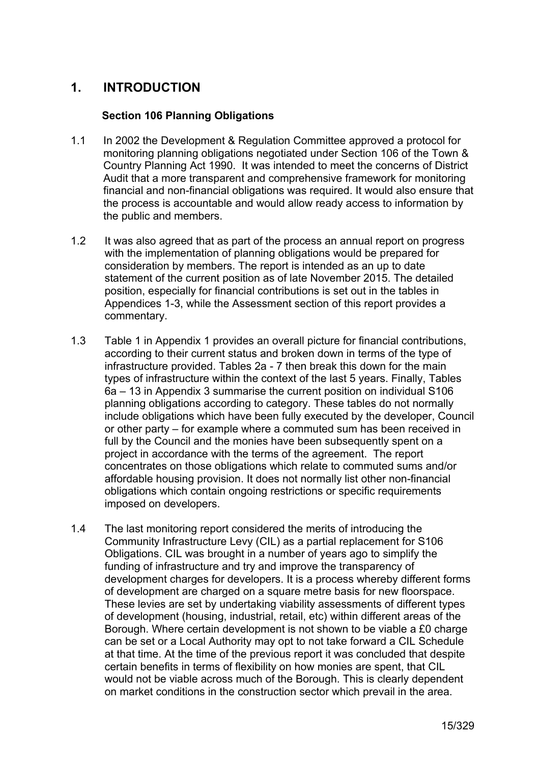# **1. INTRODUCTION**

#### **Section 106 Planning Obligations**

- 1.1 In 2002 the Development & Regulation Committee approved a protocol for monitoring planning obligations negotiated under Section 106 of the Town & Country Planning Act 1990. It was intended to meet the concerns of District Audit that a more transparent and comprehensive framework for monitoring financial and non-financial obligations was required. It would also ensure that the process is accountable and would allow ready access to information by the public and members.
- 1.2 It was also agreed that as part of the process an annual report on progress with the implementation of planning obligations would be prepared for consideration by members. The report is intended as an up to date statement of the current position as of late November 2015. The detailed position, especially for financial contributions is set out in the tables in Appendices 1-3, while the Assessment section of this report provides a commentary.
- 1.3 Table 1 in Appendix 1 provides an overall picture for financial contributions, according to their current status and broken down in terms of the type of infrastructure provided. Tables 2a - 7 then break this down for the main types of infrastructure within the context of the last 5 years. Finally, Tables 6a – 13 in Appendix 3 summarise the current position on individual S106 planning obligations according to category. These tables do not normally include obligations which have been fully executed by the developer, Council or other party – for example where a commuted sum has been received in full by the Council and the monies have been subsequently spent on a project in accordance with the terms of the agreement. The report concentrates on those obligations which relate to commuted sums and/or affordable housing provision. It does not normally list other non-financial obligations which contain ongoing restrictions or specific requirements imposed on developers.
- 1.4 The last monitoring report considered the merits of introducing the Community Infrastructure Levy (CIL) as a partial replacement for S106 Obligations. CIL was brought in a number of years ago to simplify the funding of infrastructure and try and improve the transparency of development charges for developers. It is a process whereby different forms of development are charged on a square metre basis for new floorspace. These levies are set by undertaking viability assessments of different types of development (housing, industrial, retail, etc) within different areas of the Borough. Where certain development is not shown to be viable a £0 charge can be set or a Local Authority may opt to not take forward a CIL Schedule at that time. At the time of the previous report it was concluded that despite certain benefits in terms of flexibility on how monies are spent, that CIL would not be viable across much of the Borough. This is clearly dependent on market conditions in the construction sector which prevail in the area.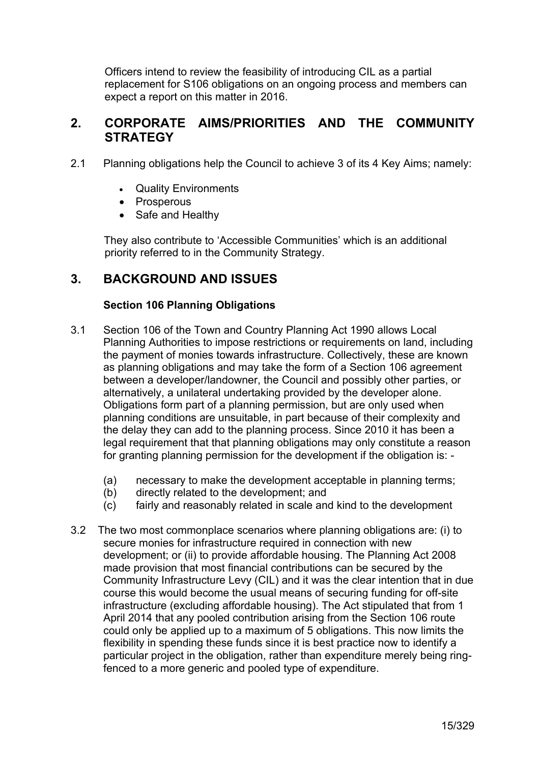Officers intend to review the feasibility of introducing CIL as a partial replacement for S106 obligations on an ongoing process and members can expect a report on this matter in 2016.

# **2. CORPORATE AIMS/PRIORITIES AND THE COMMUNITY STRATEGY**

- 2.1 Planning obligations help the Council to achieve 3 of its 4 Key Aims; namely:
	- Quality Environments
	- Prosperous
	- Safe and Healthy

 They also contribute to 'Accessible Communities' which is an additional priority referred to in the Community Strategy.

# **3. BACKGROUND AND ISSUES**

#### **Section 106 Planning Obligations**

- 3.1 Section 106 of the Town and Country Planning Act 1990 allows Local Planning Authorities to impose restrictions or requirements on land, including the payment of monies towards infrastructure. Collectively, these are known as planning obligations and may take the form of a Section 106 agreement between a developer/landowner, the Council and possibly other parties, or alternatively, a unilateral undertaking provided by the developer alone. Obligations form part of a planning permission, but are only used when planning conditions are unsuitable, in part because of their complexity and the delay they can add to the planning process. Since 2010 it has been a legal requirement that that planning obligations may only constitute a reason for granting planning permission for the development if the obligation is: -
	- (a) necessary to make the development acceptable in planning terms;
	- (b) directly related to the development; and
	- (c) fairly and reasonably related in scale and kind to the development
- 3.2 The two most commonplace scenarios where planning obligations are: (i) to secure monies for infrastructure required in connection with new development; or (ii) to provide affordable housing. The Planning Act 2008 made provision that most financial contributions can be secured by the Community Infrastructure Levy (CIL) and it was the clear intention that in due course this would become the usual means of securing funding for off-site infrastructure (excluding affordable housing). The Act stipulated that from 1 April 2014 that any pooled contribution arising from the Section 106 route could only be applied up to a maximum of 5 obligations. This now limits the flexibility in spending these funds since it is best practice now to identify a particular project in the obligation, rather than expenditure merely being ringfenced to a more generic and pooled type of expenditure.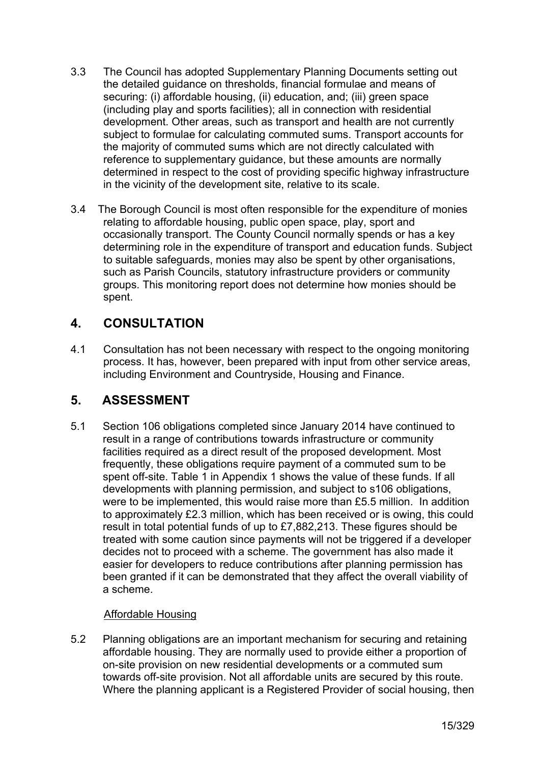- 3.3 The Council has adopted Supplementary Planning Documents setting out the detailed guidance on thresholds, financial formulae and means of securing: (i) affordable housing, (ii) education, and; (iii) green space (including play and sports facilities); all in connection with residential development. Other areas, such as transport and health are not currently subject to formulae for calculating commuted sums. Transport accounts for the majority of commuted sums which are not directly calculated with reference to supplementary guidance, but these amounts are normally determined in respect to the cost of providing specific highway infrastructure in the vicinity of the development site, relative to its scale.
- 3.4 The Borough Council is most often responsible for the expenditure of monies relating to affordable housing, public open space, play, sport and occasionally transport. The County Council normally spends or has a key determining role in the expenditure of transport and education funds. Subject to suitable safeguards, monies may also be spent by other organisations, such as Parish Councils, statutory infrastructure providers or community groups. This monitoring report does not determine how monies should be spent.

# **4. CONSULTATION**

4.1 Consultation has not been necessary with respect to the ongoing monitoring process. It has, however, been prepared with input from other service areas, including Environment and Countryside, Housing and Finance.

# **5. ASSESSMENT**

5.1 Section 106 obligations completed since January 2014 have continued to result in a range of contributions towards infrastructure or community facilities required as a direct result of the proposed development. Most frequently, these obligations require payment of a commuted sum to be spent off-site. Table 1 in Appendix 1 shows the value of these funds. If all developments with planning permission, and subject to s106 obligations, were to be implemented, this would raise more than £5.5 million. In addition to approximately £2.3 million, which has been received or is owing, this could result in total potential funds of up to £7,882,213. These figures should be treated with some caution since payments will not be triggered if a developer decides not to proceed with a scheme. The government has also made it easier for developers to reduce contributions after planning permission has been granted if it can be demonstrated that they affect the overall viability of a scheme.

#### Affordable Housing

5.2 Planning obligations are an important mechanism for securing and retaining affordable housing. They are normally used to provide either a proportion of on-site provision on new residential developments or a commuted sum towards off-site provision. Not all affordable units are secured by this route. Where the planning applicant is a Registered Provider of social housing, then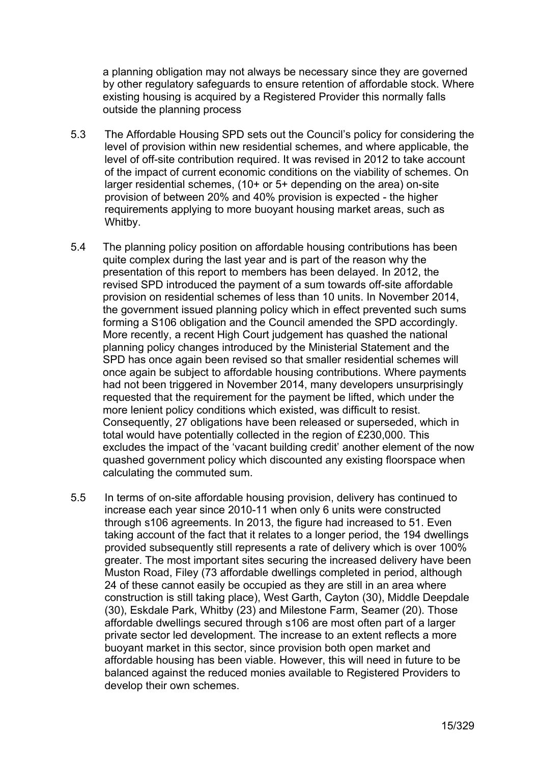a planning obligation may not always be necessary since they are governed by other regulatory safeguards to ensure retention of affordable stock. Where existing housing is acquired by a Registered Provider this normally falls outside the planning process

- 5.3 The Affordable Housing SPD sets out the Council's policy for considering the level of provision within new residential schemes, and where applicable, the level of off-site contribution required. It was revised in 2012 to take account of the impact of current economic conditions on the viability of schemes. On larger residential schemes, (10+ or 5+ depending on the area) on-site provision of between 20% and 40% provision is expected - the higher requirements applying to more buoyant housing market areas, such as Whitby.
- 5.4 The planning policy position on affordable housing contributions has been quite complex during the last year and is part of the reason why the presentation of this report to members has been delayed. In 2012, the revised SPD introduced the payment of a sum towards off-site affordable provision on residential schemes of less than 10 units. In November 2014, the government issued planning policy which in effect prevented such sums forming a S106 obligation and the Council amended the SPD accordingly. More recently, a recent High Court judgement has quashed the national planning policy changes introduced by the Ministerial Statement and the SPD has once again been revised so that smaller residential schemes will once again be subject to affordable housing contributions. Where payments had not been triggered in November 2014, many developers unsurprisingly requested that the requirement for the payment be lifted, which under the more lenient policy conditions which existed, was difficult to resist. Consequently, 27 obligations have been released or superseded, which in total would have potentially collected in the region of £230,000. This excludes the impact of the 'vacant building credit' another element of the now quashed government policy which discounted any existing floorspace when calculating the commuted sum.
- 5.5 In terms of on-site affordable housing provision, delivery has continued to increase each year since 2010-11 when only 6 units were constructed through s106 agreements. In 2013, the figure had increased to 51. Even taking account of the fact that it relates to a longer period, the 194 dwellings provided subsequently still represents a rate of delivery which is over 100% greater. The most important sites securing the increased delivery have been Muston Road, Filey (73 affordable dwellings completed in period, although 24 of these cannot easily be occupied as they are still in an area where construction is still taking place), West Garth, Cayton (30), Middle Deepdale (30), Eskdale Park, Whitby (23) and Milestone Farm, Seamer (20). Those affordable dwellings secured through s106 are most often part of a larger private sector led development. The increase to an extent reflects a more buoyant market in this sector, since provision both open market and affordable housing has been viable. However, this will need in future to be balanced against the reduced monies available to Registered Providers to develop their own schemes.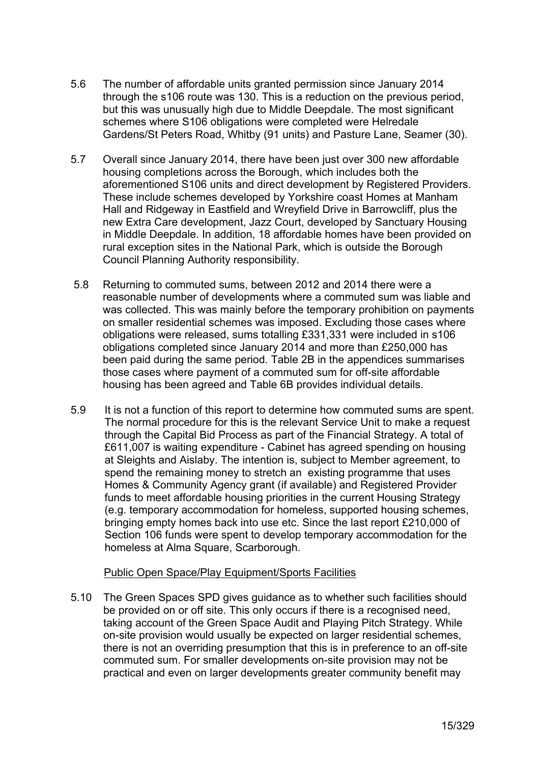- 5.6 The number of affordable units granted permission since January 2014 through the s106 route was 130. This is a reduction on the previous period, but this was unusually high due to Middle Deepdale. The most significant schemes where S106 obligations were completed were Helredale Gardens/St Peters Road, Whitby (91 units) and Pasture Lane, Seamer (30).
- 5.7 Overall since January 2014, there have been just over 300 new affordable housing completions across the Borough, which includes both the aforementioned S106 units and direct development by Registered Providers. These include schemes developed by Yorkshire coast Homes at Manham Hall and Ridgeway in Eastfield and Wreyfield Drive in Barrowcliff, plus the new Extra Care development, Jazz Court, developed by Sanctuary Housing in Middle Deepdale. In addition, 18 affordable homes have been provided on rural exception sites in the National Park, which is outside the Borough Council Planning Authority responsibility.
- 5.8 Returning to commuted sums, between 2012 and 2014 there were a reasonable number of developments where a commuted sum was liable and was collected. This was mainly before the temporary prohibition on payments on smaller residential schemes was imposed. Excluding those cases where obligations were released, sums totalling £331,331 were included in s106 obligations completed since January 2014 and more than £250,000 has been paid during the same period. Table 2B in the appendices summarises those cases where payment of a commuted sum for off-site affordable housing has been agreed and Table 6B provides individual details.
- 5.9 It is not a function of this report to determine how commuted sums are spent. The normal procedure for this is the relevant Service Unit to make a request through the Capital Bid Process as part of the Financial Strategy. A total of £611,007 is waiting expenditure - Cabinet has agreed spending on housing at Sleights and Aislaby. The intention is, subject to Member agreement, to spend the remaining money to stretch an existing programme that uses Homes & Community Agency grant (if available) and Registered Provider funds to meet affordable housing priorities in the current Housing Strategy (e.g. temporary accommodation for homeless, supported housing schemes, bringing empty homes back into use etc. Since the last report £210,000 of Section 106 funds were spent to develop temporary accommodation for the homeless at Alma Square, Scarborough.

#### Public Open Space/Play Equipment/Sports Facilities

5.10 The Green Spaces SPD gives guidance as to whether such facilities should be provided on or off site. This only occurs if there is a recognised need, taking account of the Green Space Audit and Playing Pitch Strategy. While on-site provision would usually be expected on larger residential schemes, there is not an overriding presumption that this is in preference to an off-site commuted sum. For smaller developments on-site provision may not be practical and even on larger developments greater community benefit may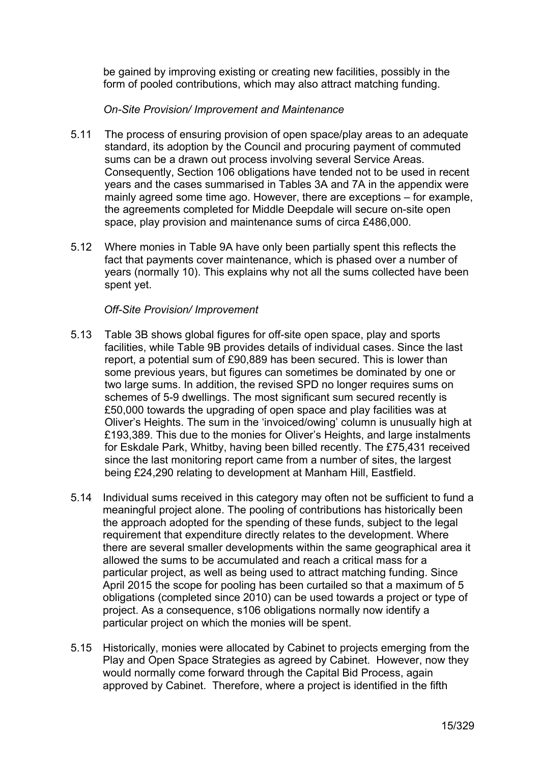be gained by improving existing or creating new facilities, possibly in the form of pooled contributions, which may also attract matching funding.

#### *On-Site Provision/ Improvement and Maintenance*

- 5.11 The process of ensuring provision of open space/play areas to an adequate standard, its adoption by the Council and procuring payment of commuted sums can be a drawn out process involving several Service Areas. Consequently, Section 106 obligations have tended not to be used in recent years and the cases summarised in Tables 3A and 7A in the appendix were mainly agreed some time ago. However, there are exceptions – for example, the agreements completed for Middle Deepdale will secure on-site open space, play provision and maintenance sums of circa £486,000.
- 5.12 Where monies in Table 9A have only been partially spent this reflects the fact that payments cover maintenance, which is phased over a number of years (normally 10). This explains why not all the sums collected have been spent yet.

#### *Off-Site Provision/ Improvement*

- 5.13 Table 3B shows global figures for off-site open space, play and sports facilities, while Table 9B provides details of individual cases. Since the last report, a potential sum of £90,889 has been secured. This is lower than some previous years, but figures can sometimes be dominated by one or two large sums. In addition, the revised SPD no longer requires sums on schemes of 5-9 dwellings. The most significant sum secured recently is £50,000 towards the upgrading of open space and play facilities was at Oliver's Heights. The sum in the 'invoiced/owing' column is unusually high at £193,389. This due to the monies for Oliver's Heights, and large instalments for Eskdale Park, Whitby, having been billed recently. The £75,431 received since the last monitoring report came from a number of sites, the largest being £24,290 relating to development at Manham Hill, Eastfield.
- 5.14 Individual sums received in this category may often not be sufficient to fund a meaningful project alone. The pooling of contributions has historically been the approach adopted for the spending of these funds, subject to the legal requirement that expenditure directly relates to the development. Where there are several smaller developments within the same geographical area it allowed the sums to be accumulated and reach a critical mass for a particular project, as well as being used to attract matching funding. Since April 2015 the scope for pooling has been curtailed so that a maximum of 5 obligations (completed since 2010) can be used towards a project or type of project. As a consequence, s106 obligations normally now identify a particular project on which the monies will be spent.
- 5.15 Historically, monies were allocated by Cabinet to projects emerging from the Play and Open Space Strategies as agreed by Cabinet. However, now they would normally come forward through the Capital Bid Process, again approved by Cabinet. Therefore, where a project is identified in the fifth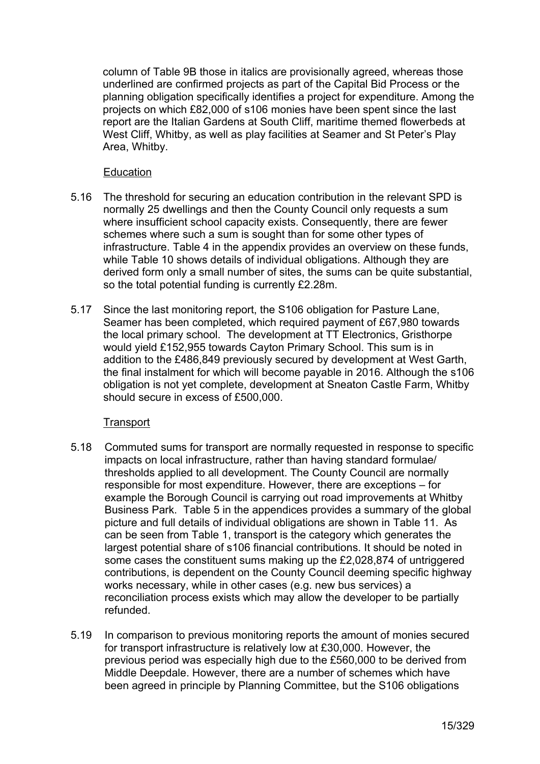column of Table 9B those in italics are provisionally agreed, whereas those underlined are confirmed projects as part of the Capital Bid Process or the planning obligation specifically identifies a project for expenditure. Among the projects on which £82,000 of s106 monies have been spent since the last report are the Italian Gardens at South Cliff, maritime themed flowerbeds at West Cliff, Whitby, as well as play facilities at Seamer and St Peter's Play Area, Whitby.

#### **Education**

- 5.16 The threshold for securing an education contribution in the relevant SPD is normally 25 dwellings and then the County Council only requests a sum where insufficient school capacity exists. Consequently, there are fewer schemes where such a sum is sought than for some other types of infrastructure. Table 4 in the appendix provides an overview on these funds, while Table 10 shows details of individual obligations. Although they are derived form only a small number of sites, the sums can be quite substantial, so the total potential funding is currently £2.28m.
- 5.17 Since the last monitoring report, the S106 obligation for Pasture Lane, Seamer has been completed, which required payment of £67,980 towards the local primary school. The development at TT Electronics, Gristhorpe would yield £152,955 towards Cayton Primary School. This sum is in addition to the £486,849 previously secured by development at West Garth, the final instalment for which will become payable in 2016. Although the s106 obligation is not yet complete, development at Sneaton Castle Farm, Whitby should secure in excess of £500,000.

#### **Transport**

- 5.18 Commuted sums for transport are normally requested in response to specific impacts on local infrastructure, rather than having standard formulae/ thresholds applied to all development. The County Council are normally responsible for most expenditure. However, there are exceptions – for example the Borough Council is carrying out road improvements at Whitby Business Park. Table 5 in the appendices provides a summary of the global picture and full details of individual obligations are shown in Table 11. As can be seen from Table 1, transport is the category which generates the largest potential share of s106 financial contributions. It should be noted in some cases the constituent sums making up the £2,028,874 of untriggered contributions, is dependent on the County Council deeming specific highway works necessary, while in other cases (e.g. new bus services) a reconciliation process exists which may allow the developer to be partially refunded.
- 5.19 In comparison to previous monitoring reports the amount of monies secured for transport infrastructure is relatively low at £30,000. However, the previous period was especially high due to the £560,000 to be derived from Middle Deepdale. However, there are a number of schemes which have been agreed in principle by Planning Committee, but the S106 obligations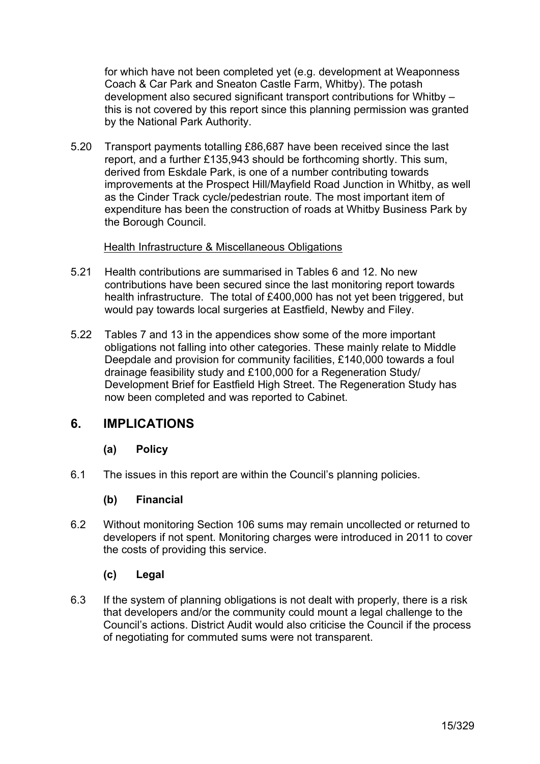for which have not been completed yet (e.g. development at Weaponness Coach & Car Park and Sneaton Castle Farm, Whitby). The potash development also secured significant transport contributions for Whitby – this is not covered by this report since this planning permission was granted by the National Park Authority.

5.20 Transport payments totalling £86,687 have been received since the last report, and a further £135,943 should be forthcoming shortly. This sum, derived from Eskdale Park, is one of a number contributing towards improvements at the Prospect Hill/Mayfield Road Junction in Whitby, as well as the Cinder Track cycle/pedestrian route. The most important item of expenditure has been the construction of roads at Whitby Business Park by the Borough Council.

#### Health Infrastructure & Miscellaneous Obligations

- 5.21 Health contributions are summarised in Tables 6 and 12. No new contributions have been secured since the last monitoring report towards health infrastructure. The total of £400,000 has not yet been triggered, but would pay towards local surgeries at Eastfield, Newby and Filey.
- 5.22 Tables 7 and 13 in the appendices show some of the more important obligations not falling into other categories. These mainly relate to Middle Deepdale and provision for community facilities, £140,000 towards a foul drainage feasibility study and £100,000 for a Regeneration Study/ Development Brief for Eastfield High Street. The Regeneration Study has now been completed and was reported to Cabinet.

#### **6. IMPLICATIONS**

#### **(a) Policy**

6.1 The issues in this report are within the Council's planning policies.

#### **(b) Financial**

6.2 Without monitoring Section 106 sums may remain uncollected or returned to developers if not spent. Monitoring charges were introduced in 2011 to cover the costs of providing this service.

#### **(c) Legal**

6.3 If the system of planning obligations is not dealt with properly, there is a risk that developers and/or the community could mount a legal challenge to the Council's actions. District Audit would also criticise the Council if the process of negotiating for commuted sums were not transparent.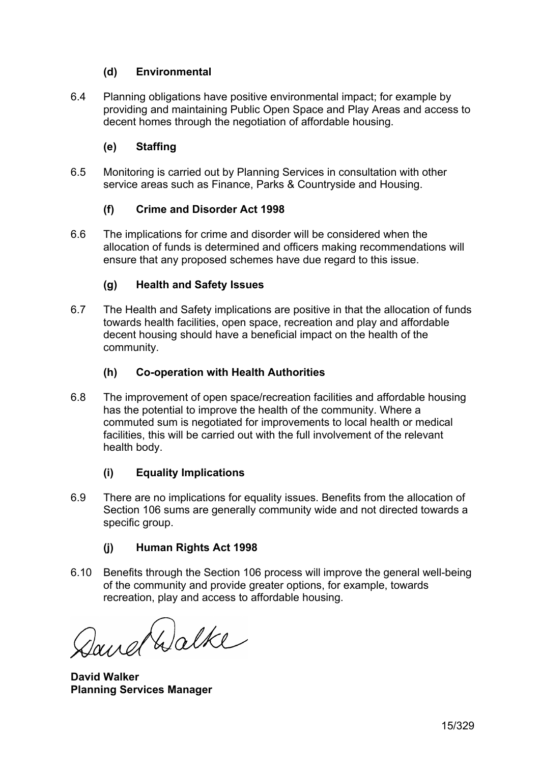### **(d) Environmental**

6.4 Planning obligations have positive environmental impact; for example by providing and maintaining Public Open Space and Play Areas and access to decent homes through the negotiation of affordable housing.

## **(e) Staffing**

6.5 Monitoring is carried out by Planning Services in consultation with other service areas such as Finance, Parks & Countryside and Housing.

### **(f) Crime and Disorder Act 1998**

6.6 The implications for crime and disorder will be considered when the allocation of funds is determined and officers making recommendations will ensure that any proposed schemes have due regard to this issue.

### **(g) Health and Safety Issues**

6.7 The Health and Safety implications are positive in that the allocation of funds towards health facilities, open space, recreation and play and affordable decent housing should have a beneficial impact on the health of the community.

#### **(h) Co-operation with Health Authorities**

6.8 The improvement of open space/recreation facilities and affordable housing has the potential to improve the health of the community. Where a commuted sum is negotiated for improvements to local health or medical facilities, this will be carried out with the full involvement of the relevant health body.

#### **(i) Equality Implications**

6.9 There are no implications for equality issues. Benefits from the allocation of Section 106 sums are generally community wide and not directed towards a specific group.

#### **(j) Human Rights Act 1998**

6.10 Benefits through the Section 106 process will improve the general well-being of the community and provide greater options, for example, towards recreation, play and access to affordable housing.

Dand Walke

**David Walker Planning Services Manager**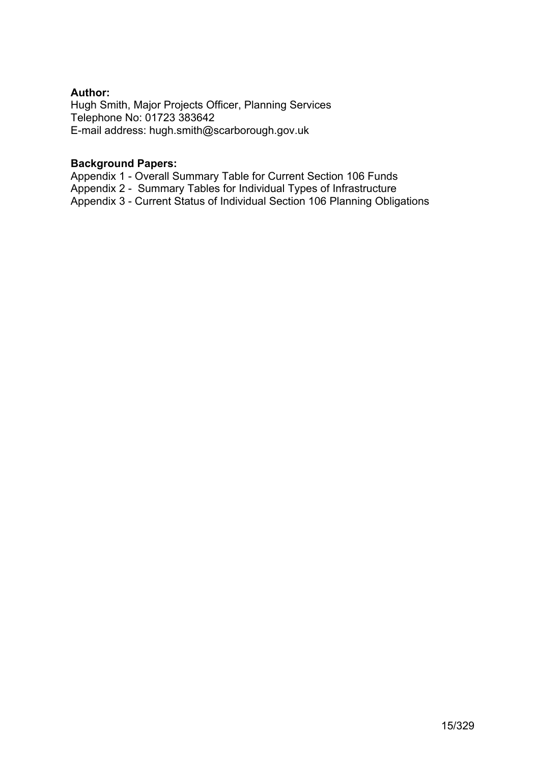#### **Author:**

Hugh Smith, Major Projects Officer, Planning Services Telephone No: 01723 383642 E-mail address: [hugh.smith@scarborough.gov.uk](mailto:hugh.smith@scarborough.gov.uk)

#### **Background Papers:**

Appendix 1 - Overall Summary Table for Current Section 106 Funds Appendix 2 - Summary Tables for Individual Types of Infrastructure Appendix 3 - Current Status of Individual Section 106 Planning Obligations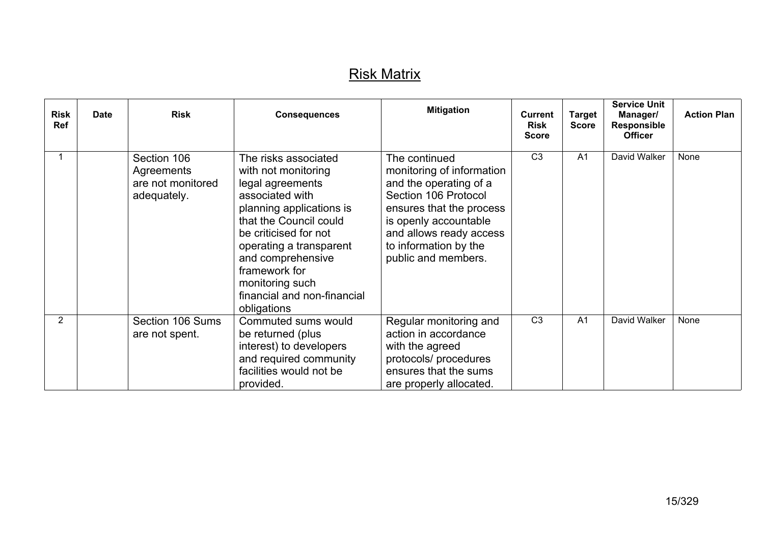# Risk Matrix

| <b>Risk</b><br><b>Ref</b> | <b>Date</b> | <b>Risk</b>                                                   | <b>Consequences</b>                                                                                                                                                                                                                                                                                 | <b>Mitigation</b>                                                                                                                                                                                                            | <b>Current</b><br><b>Risk</b><br><b>Score</b> | <b>Target</b><br><b>Score</b> | <b>Service Unit</b><br>Manager/<br><b>Responsible</b><br><b>Officer</b> | <b>Action Plan</b> |
|---------------------------|-------------|---------------------------------------------------------------|-----------------------------------------------------------------------------------------------------------------------------------------------------------------------------------------------------------------------------------------------------------------------------------------------------|------------------------------------------------------------------------------------------------------------------------------------------------------------------------------------------------------------------------------|-----------------------------------------------|-------------------------------|-------------------------------------------------------------------------|--------------------|
|                           |             | Section 106<br>Agreements<br>are not monitored<br>adequately. | The risks associated<br>with not monitoring<br>legal agreements<br>associated with<br>planning applications is<br>that the Council could<br>be criticised for not<br>operating a transparent<br>and comprehensive<br>framework for<br>monitoring such<br>financial and non-financial<br>obligations | The continued<br>monitoring of information<br>and the operating of a<br>Section 106 Protocol<br>ensures that the process<br>is openly accountable<br>and allows ready access<br>to information by the<br>public and members. | C <sub>3</sub>                                | A <sub>1</sub>                | David Walker                                                            | None               |
| $\overline{2}$            |             | Section 106 Sums<br>are not spent.                            | Commuted sums would<br>be returned (plus<br>interest) to developers<br>and required community<br>facilities would not be<br>provided.                                                                                                                                                               | Regular monitoring and<br>action in accordance<br>with the agreed<br>protocols/ procedures<br>ensures that the sums<br>are properly allocated.                                                                               | C <sub>3</sub>                                | A <sub>1</sub>                | David Walker                                                            | None               |